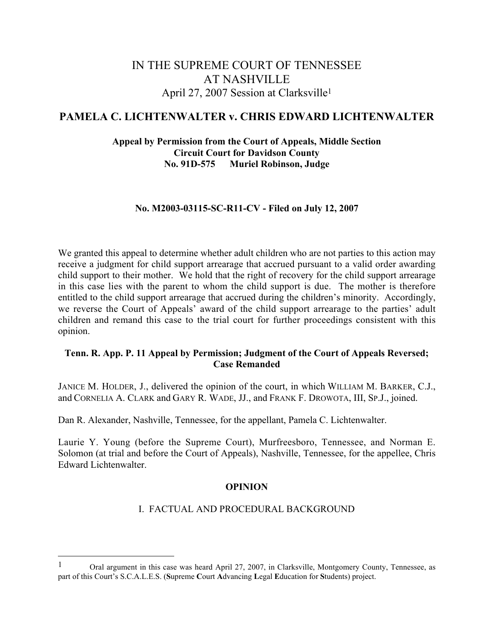# IN THE SUPREME COURT OF TENNESSEE AT NASHVILLE April 27, 2007 Session at Clarksville1

# **PAMELA C. LICHTENWALTER v. CHRIS EDWARD LICHTENWALTER**

### **Appeal by Permission from the Court of Appeals, Middle Section Circuit Court for Davidson County No. 91D-575 Muriel Robinson, Judge**

#### **No. M2003-03115-SC-R11-CV - Filed on July 12, 2007**

We granted this appeal to determine whether adult children who are not parties to this action may receive a judgment for child support arrearage that accrued pursuant to a valid order awarding child support to their mother. We hold that the right of recovery for the child support arrearage in this case lies with the parent to whom the child support is due. The mother is therefore entitled to the child support arrearage that accrued during the children's minority. Accordingly, we reverse the Court of Appeals' award of the child support arrearage to the parties' adult children and remand this case to the trial court for further proceedings consistent with this opinion.

#### **Tenn. R. App. P. 11 Appeal by Permission; Judgment of the Court of Appeals Reversed; Case Remanded**

JANICE M. HOLDER, J., delivered the opinion of the court, in which WILLIAM M. BARKER, C.J., and CORNELIA A. CLARK and GARY R. WADE, JJ., and FRANK F. DROWOTA, III, SP.J., joined.

Dan R. Alexander, Nashville, Tennessee, for the appellant, Pamela C. Lichtenwalter.

Laurie Y. Young (before the Supreme Court), Murfreesboro, Tennessee, and Norman E. Solomon (at trial and before the Court of Appeals), Nashville, Tennessee, for the appellee, Chris Edward Lichtenwalter.

#### **OPINION**

#### I. FACTUAL AND PROCEDURAL BACKGROUND

<sup>1</sup> Oral argument in this case was heard April 27, 2007, in Clarksville, Montgomery County, Tennessee, as part of this Court's S.C.A.L.E.S. (**S**upreme **C**ourt **A**dvancing **L**egal **E**ducation for **S**tudents) project.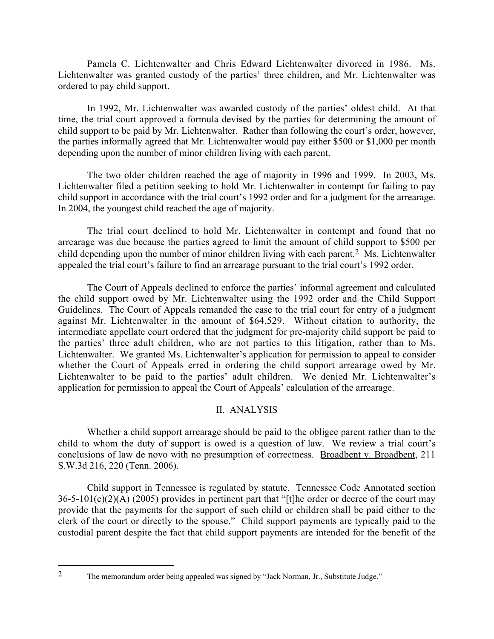Pamela C. Lichtenwalter and Chris Edward Lichtenwalter divorced in 1986. Ms. Lichtenwalter was granted custody of the parties' three children, and Mr. Lichtenwalter was ordered to pay child support.

In 1992, Mr. Lichtenwalter was awarded custody of the parties' oldest child. At that time, the trial court approved a formula devised by the parties for determining the amount of child support to be paid by Mr. Lichtenwalter. Rather than following the court's order, however, the parties informally agreed that Mr. Lichtenwalter would pay either \$500 or \$1,000 per month depending upon the number of minor children living with each parent.

The two older children reached the age of majority in 1996 and 1999. In 2003, Ms. Lichtenwalter filed a petition seeking to hold Mr. Lichtenwalter in contempt for failing to pay child support in accordance with the trial court's 1992 order and for a judgment for the arrearage. In 2004, the youngest child reached the age of majority.

The trial court declined to hold Mr. Lichtenwalter in contempt and found that no arrearage was due because the parties agreed to limit the amount of child support to \$500 per child depending upon the number of minor children living with each parent.2 Ms. Lichtenwalter appealed the trial court's failure to find an arrearage pursuant to the trial court's 1992 order.

The Court of Appeals declined to enforce the parties' informal agreement and calculated the child support owed by Mr. Lichtenwalter using the 1992 order and the Child Support Guidelines. The Court of Appeals remanded the case to the trial court for entry of a judgment against Mr. Lichtenwalter in the amount of \$64,529. Without citation to authority, the intermediate appellate court ordered that the judgment for pre-majority child support be paid to the parties' three adult children, who are not parties to this litigation, rather than to Ms. Lichtenwalter. We granted Ms. Lichtenwalter's application for permission to appeal to consider whether the Court of Appeals erred in ordering the child support arrearage owed by Mr. Lichtenwalter to be paid to the parties' adult children. We denied Mr. Lichtenwalter's application for permission to appeal the Court of Appeals' calculation of the arrearage.

## II. ANALYSIS

Whether a child support arrearage should be paid to the obligee parent rather than to the child to whom the duty of support is owed is a question of law. We review a trial court's conclusions of law de novo with no presumption of correctness. Broadbent v. Broadbent, 211 S.W.3d 216, 220 (Tenn. 2006).

Child support in Tennessee is regulated by statute. Tennessee Code Annotated section  $36-5-101(c)(2)(A)$  (2005) provides in pertinent part that "[t]he order or decree of the court may provide that the payments for the support of such child or children shall be paid either to the clerk of the court or directly to the spouse." Child support payments are typically paid to the custodial parent despite the fact that child support payments are intended for the benefit of the

<sup>2</sup> The memorandum order being appealed was signed by "Jack Norman, Jr., Substitute Judge."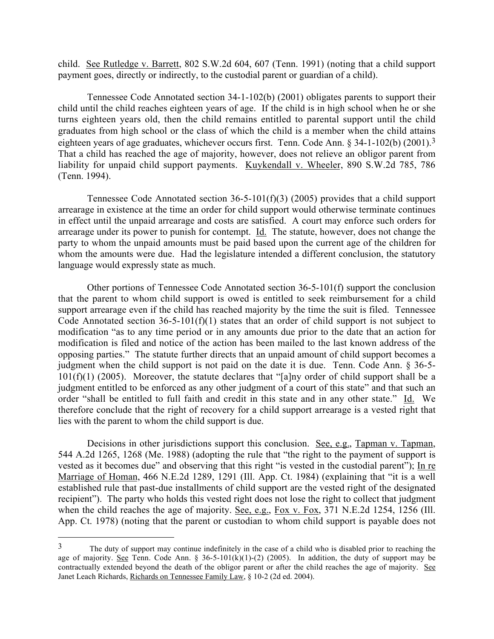child. See Rutledge v. Barrett, 802 S.W.2d 604, 607 (Tenn. 1991) (noting that a child support payment goes, directly or indirectly, to the custodial parent or guardian of a child).

Tennessee Code Annotated section 34-1-102(b) (2001) obligates parents to support their child until the child reaches eighteen years of age. If the child is in high school when he or she turns eighteen years old, then the child remains entitled to parental support until the child graduates from high school or the class of which the child is a member when the child attains eighteen years of age graduates, whichever occurs first. Tenn. Code Ann. § 34-1-102(b) (2001).3 That a child has reached the age of majority, however, does not relieve an obligor parent from liability for unpaid child support payments. Kuykendall v. Wheeler, 890 S.W.2d 785, 786 (Tenn. 1994).

Tennessee Code Annotated section 36-5-101(f)(3) (2005) provides that a child support arrearage in existence at the time an order for child support would otherwise terminate continues in effect until the unpaid arrearage and costs are satisfied. A court may enforce such orders for arrearage under its power to punish for contempt. Id. The statute, however, does not change the party to whom the unpaid amounts must be paid based upon the current age of the children for whom the amounts were due. Had the legislature intended a different conclusion, the statutory language would expressly state as much.

Other portions of Tennessee Code Annotated section 36-5-101(f) support the conclusion that the parent to whom child support is owed is entitled to seek reimbursement for a child support arrearage even if the child has reached majority by the time the suit is filed. Tennessee Code Annotated section 36-5-101(f)(1) states that an order of child support is not subject to modification "as to any time period or in any amounts due prior to the date that an action for modification is filed and notice of the action has been mailed to the last known address of the opposing parties." The statute further directs that an unpaid amount of child support becomes a judgment when the child support is not paid on the date it is due. Tenn. Code Ann. § 36-5-  $101(f)(1)$  (2005). Moreover, the statute declares that "[a]ny order of child support shall be a judgment entitled to be enforced as any other judgment of a court of this state" and that such an order "shall be entitled to full faith and credit in this state and in any other state." Id. We therefore conclude that the right of recovery for a child support arrearage is a vested right that lies with the parent to whom the child support is due.

Decisions in other jurisdictions support this conclusion. See, e.g., Tapman v. Tapman, 544 A.2d 1265, 1268 (Me. 1988) (adopting the rule that "the right to the payment of support is vested as it becomes due" and observing that this right "is vested in the custodial parent"); In re Marriage of Homan, 466 N.E.2d 1289, 1291 (Ill. App. Ct. 1984) (explaining that "it is a well established rule that past-due installments of child support are the vested right of the designated recipient"). The party who holds this vested right does not lose the right to collect that judgment when the child reaches the age of majority. See, e.g., Fox v. Fox, 371 N.E.2d 1254, 1256 (Ill. App. Ct. 1978) (noting that the parent or custodian to whom child support is payable does not

<sup>&</sup>lt;sup>3</sup> The duty of support may continue indefinitely in the case of a child who is disabled prior to reaching the age of majority. See Tenn. Code Ann. §  $36-5-101(k)(1)-(2)$  (2005). In addition, the duty of support may be contractually extended beyond the death of the obligor parent or after the child reaches the age of majority. See Janet Leach Richards, Richards on Tennessee Family Law, § 10-2 (2d ed. 2004).